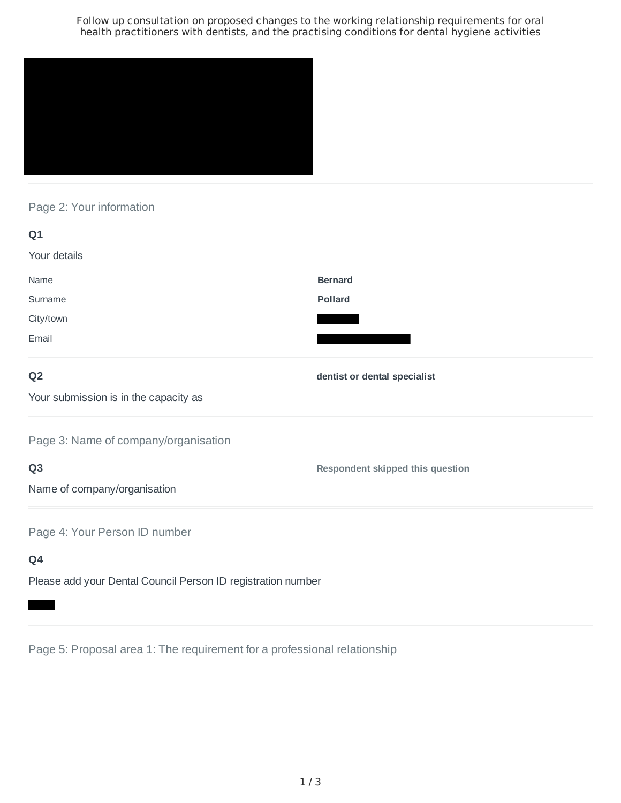Follow up consultation on proposed changes to the working relationship requirements for oral health practitioners with dentists, and the practising conditions for dental hygiene activities



# Page 2: Your information

| Q1                                    |                                         |
|---------------------------------------|-----------------------------------------|
| Your details                          |                                         |
| Name                                  | <b>Bernard</b>                          |
| Surname                               | <b>Pollard</b>                          |
| City/town                             |                                         |
| Email                                 |                                         |
| Q <sub>2</sub>                        | dentist or dental specialist            |
| Your submission is in the capacity as |                                         |
| Page 3: Name of company/organisation  |                                         |
| Q <sub>3</sub>                        | <b>Respondent skipped this question</b> |
| Name of company/organisation          |                                         |
| Page 4: Your Person ID number         |                                         |
| Q4                                    |                                         |

Please add your Dental Council Person ID registration number

Page 5: Proposal area 1: The requirement for a professional relationship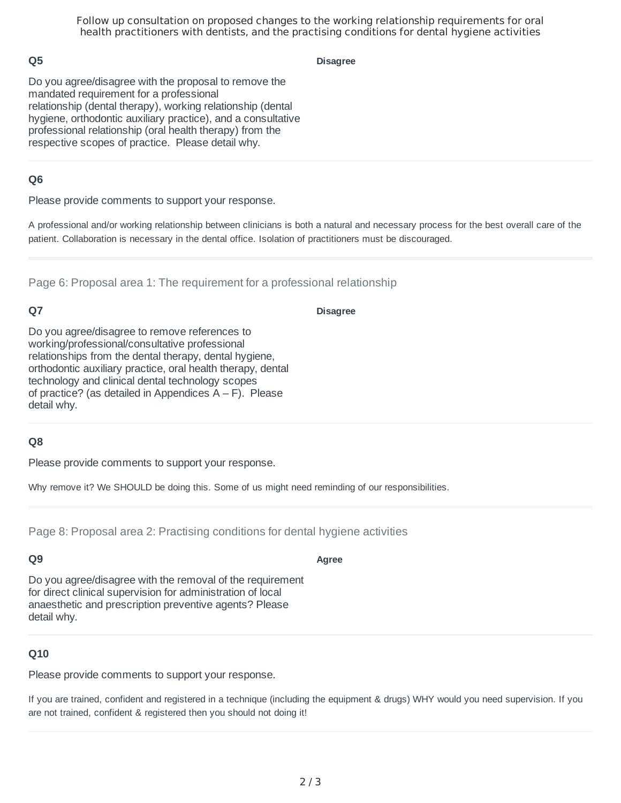Follow up consultation on proposed changes to the working relationship requirements for oral health practitioners with dentists, and the practising conditions for dental hygiene activities

## **Q5**

**Disagree**

Do you agree/disagree with the proposal to remove the mandated requirement for a professional relationship (dental therapy), working relationship (dental hygiene, orthodontic auxiliary practice), and a consultative professional relationship (oral health therapy) from the respective scopes of practice. Please detail why.

## **Q6**

Please provide comments to support your response.

A professional and/or working relationship between clinicians is both a natural and necessary process for the best overall care of the patient. Collaboration is necessary in the dental office. Isolation of practitioners must be discouraged.

Page 6: Proposal area 1: The requirement for a professional relationship

# **Q7**

#### **Disagree**

Do you agree/disagree to remove references to working/professional/consultative professional relationships from the dental therapy, dental hygiene, orthodontic auxiliary practice, oral health therapy, dental technology and clinical dental technology scopes of practice? (as detailed in Appendices  $A - F$ ). Please detail why.

#### **Q8**

Please provide comments to support your response.

Why remove it? We SHOULD be doing this. Some of us might need reminding of our responsibilities.

Page 8: Proposal area 2: Practising conditions for dental hygiene activities

# **Q9**

Do you agree/disagree with the removal of the requirement for direct clinical supervision for administration of local anaesthetic and prescription preventive agents? Please detail why.

#### **Q10**

Please provide comments to support your response.

If you are trained, confident and registered in a technique (including the equipment & drugs) WHY would you need supervision. If you are not trained, confident & registered then you should not doing it!

#### **Agree**